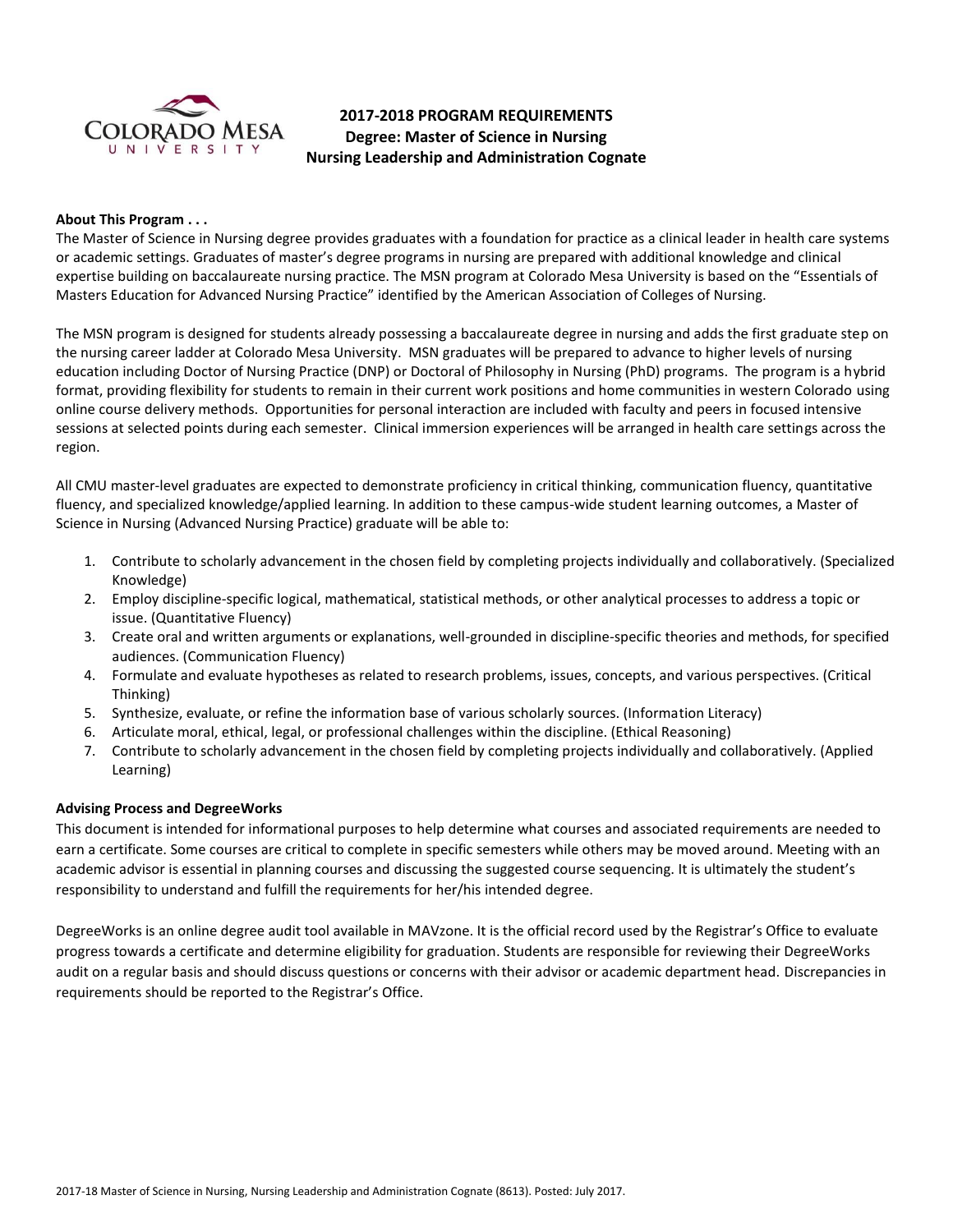

# **2017-2018 PROGRAM REQUIREMENTS Degree: Master of Science in Nursing Nursing Leadership and Administration Cognate**

### **About This Program . . .**

The Master of Science in Nursing degree provides graduates with a foundation for practice as a clinical leader in health care systems or academic settings. Graduates of master's degree programs in nursing are prepared with additional knowledge and clinical expertise building on baccalaureate nursing practice. The MSN program at Colorado Mesa University is based on the "Essentials of Masters Education for Advanced Nursing Practice" identified by the American Association of Colleges of Nursing.

The MSN program is designed for students already possessing a baccalaureate degree in nursing and adds the first graduate step on the nursing career ladder at Colorado Mesa University. MSN graduates will be prepared to advance to higher levels of nursing education including Doctor of Nursing Practice (DNP) or Doctoral of Philosophy in Nursing (PhD) programs. The program is a hybrid format, providing flexibility for students to remain in their current work positions and home communities in western Colorado using online course delivery methods. Opportunities for personal interaction are included with faculty and peers in focused intensive sessions at selected points during each semester. Clinical immersion experiences will be arranged in health care settings across the region.

All CMU master-level graduates are expected to demonstrate proficiency in critical thinking, communication fluency, quantitative fluency, and specialized knowledge/applied learning. In addition to these campus-wide student learning outcomes, a Master of Science in Nursing (Advanced Nursing Practice) graduate will be able to:

- 1. Contribute to scholarly advancement in the chosen field by completing projects individually and collaboratively. (Specialized Knowledge)
- 2. Employ discipline-specific logical, mathematical, statistical methods, or other analytical processes to address a topic or issue. (Quantitative Fluency)
- 3. Create oral and written arguments or explanations, well-grounded in discipline-specific theories and methods, for specified audiences. (Communication Fluency)
- 4. Formulate and evaluate hypotheses as related to research problems, issues, concepts, and various perspectives. (Critical Thinking)
- 5. Synthesize, evaluate, or refine the information base of various scholarly sources. (Information Literacy)
- 6. Articulate moral, ethical, legal, or professional challenges within the discipline. (Ethical Reasoning)
- 7. Contribute to scholarly advancement in the chosen field by completing projects individually and collaboratively. (Applied Learning)

# **Advising Process and DegreeWorks**

This document is intended for informational purposes to help determine what courses and associated requirements are needed to earn a certificate. Some courses are critical to complete in specific semesters while others may be moved around. Meeting with an academic advisor is essential in planning courses and discussing the suggested course sequencing. It is ultimately the student's responsibility to understand and fulfill the requirements for her/his intended degree.

DegreeWorks is an online degree audit tool available in MAVzone. It is the official record used by the Registrar's Office to evaluate progress towards a certificate and determine eligibility for graduation. Students are responsible for reviewing their DegreeWorks audit on a regular basis and should discuss questions or concerns with their advisor or academic department head. Discrepancies in requirements should be reported to the Registrar's Office.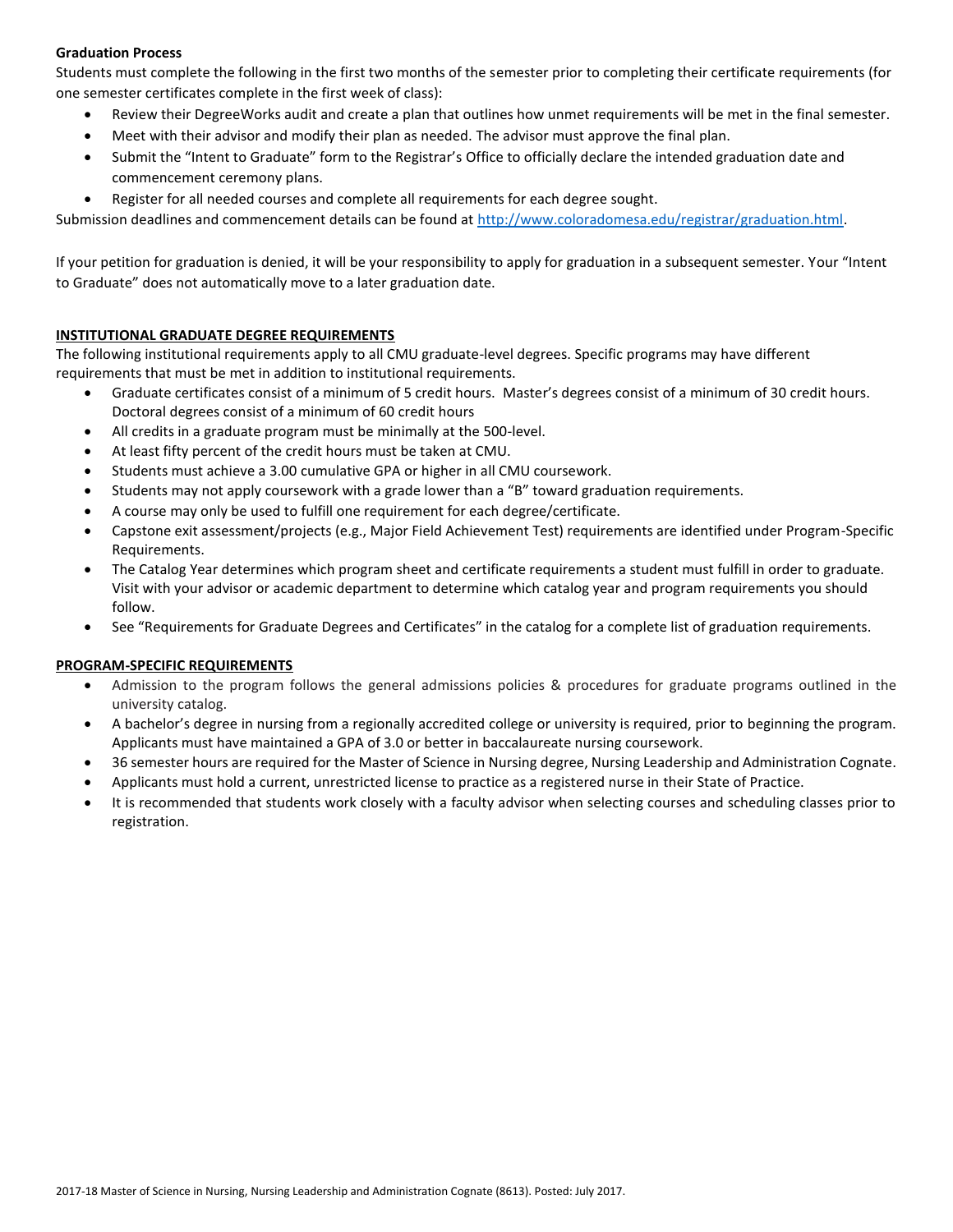# **Graduation Process**

Students must complete the following in the first two months of the semester prior to completing their certificate requirements (for one semester certificates complete in the first week of class):

- Review their DegreeWorks audit and create a plan that outlines how unmet requirements will be met in the final semester.
- Meet with their advisor and modify their plan as needed. The advisor must approve the final plan.
- Submit the "Intent to Graduate" form to the Registrar's Office to officially declare the intended graduation date and commencement ceremony plans.
- Register for all needed courses and complete all requirements for each degree sought.

Submission deadlines and commencement details can be found at [http://www.coloradomesa.edu/registrar/graduation.html.](http://www.coloradomesa.edu/registrar/graduation.html)

If your petition for graduation is denied, it will be your responsibility to apply for graduation in a subsequent semester. Your "Intent to Graduate" does not automatically move to a later graduation date.

# **INSTITUTIONAL GRADUATE DEGREE REQUIREMENTS**

The following institutional requirements apply to all CMU graduate-level degrees. Specific programs may have different requirements that must be met in addition to institutional requirements.

- Graduate certificates consist of a minimum of 5 credit hours. Master's degrees consist of a minimum of 30 credit hours. Doctoral degrees consist of a minimum of 60 credit hours
- All credits in a graduate program must be minimally at the 500-level.
- At least fifty percent of the credit hours must be taken at CMU.
- Students must achieve a 3.00 cumulative GPA or higher in all CMU coursework.
- Students may not apply coursework with a grade lower than a "B" toward graduation requirements.
- A course may only be used to fulfill one requirement for each degree/certificate.
- Capstone exit assessment/projects (e.g., Major Field Achievement Test) requirements are identified under Program-Specific Requirements.
- The Catalog Year determines which program sheet and certificate requirements a student must fulfill in order to graduate. Visit with your advisor or academic department to determine which catalog year and program requirements you should follow.
- See "Requirements for Graduate Degrees and Certificates" in the catalog for a complete list of graduation requirements.

# **PROGRAM-SPECIFIC REQUIREMENTS**

- Admission to the program follows the general admissions policies & procedures for graduate programs outlined in the university catalog.
- A bachelor's degree in nursing from a regionally accredited college or university is required, prior to beginning the program. Applicants must have maintained a GPA of 3.0 or better in baccalaureate nursing coursework.
- 36 semester hours are required for the Master of Science in Nursing degree, Nursing Leadership and Administration Cognate.
- Applicants must hold a current, unrestricted license to practice as a registered nurse in their State of Practice.
- It is recommended that students work closely with a faculty advisor when selecting courses and scheduling classes prior to registration.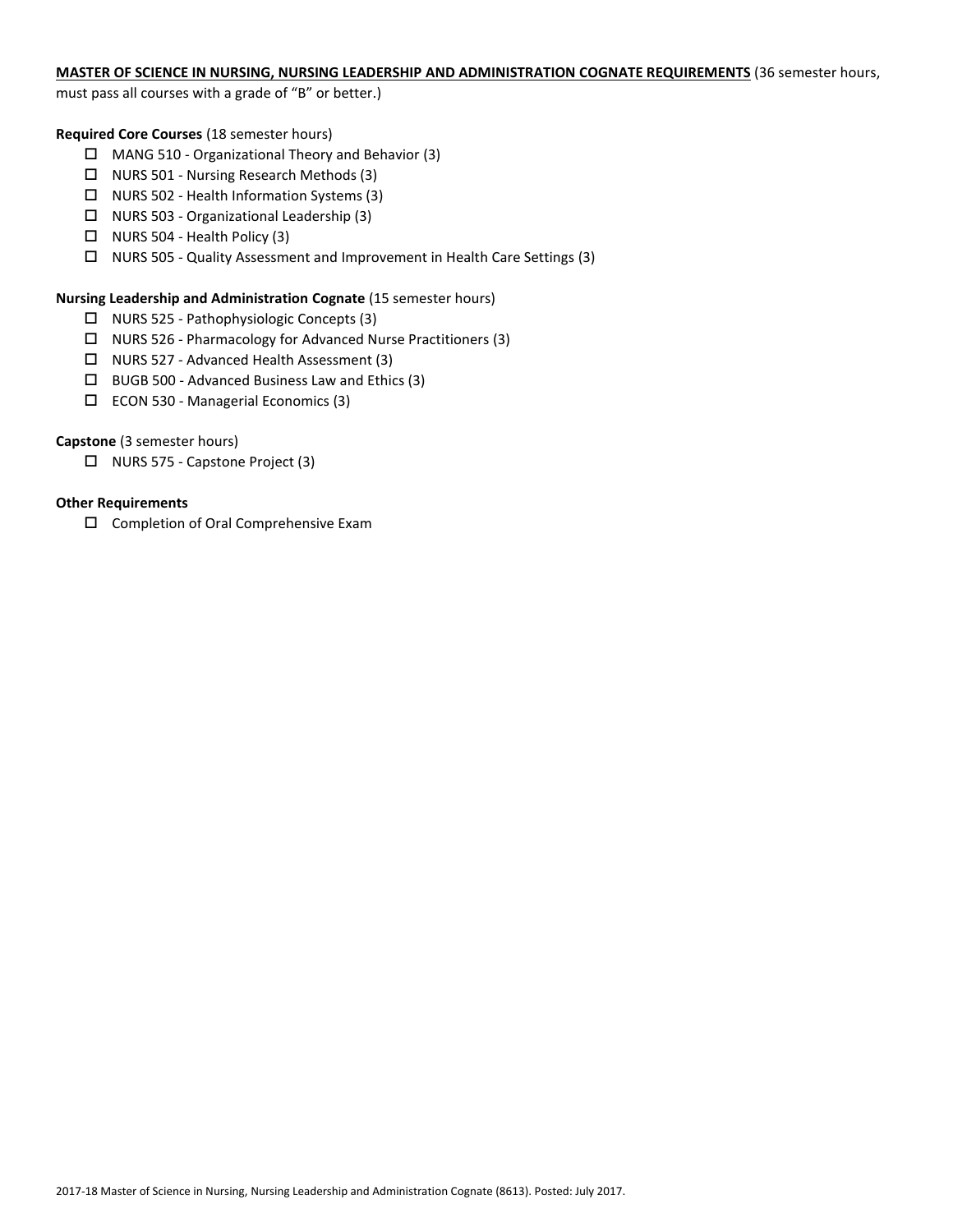## **MASTER OF SCIENCE IN NURSING, NURSING LEADERSHIP AND ADMINISTRATION COGNATE REQUIREMENTS** (36 semester hours,

must pass all courses with a grade of "B" or better.)

### **Required Core Courses** (18 semester hours)

- MANG 510 Organizational Theory and Behavior (3)
- $\Box$  NURS 501 Nursing Research Methods (3)
- NURS 502 Health Information Systems (3)
- $\Box$  NURS 503 Organizational Leadership (3)
- $\Box$  NURS 504 Health Policy (3)
- NURS 505 Quality Assessment and Improvement in Health Care Settings (3)

#### **Nursing Leadership and Administration Cognate** (15 semester hours)

- NURS 525 Pathophysiologic Concepts (3)
- NURS 526 Pharmacology for Advanced Nurse Practitioners (3)
- NURS 527 Advanced Health Assessment (3)
- $\Box$  BUGB 500 Advanced Business Law and Ethics (3)
- ECON 530 Managerial Economics (3)

### **Capstone** (3 semester hours)

□ NURS 575 - Capstone Project (3)

### **Other Requirements**

□ Completion of Oral Comprehensive Exam